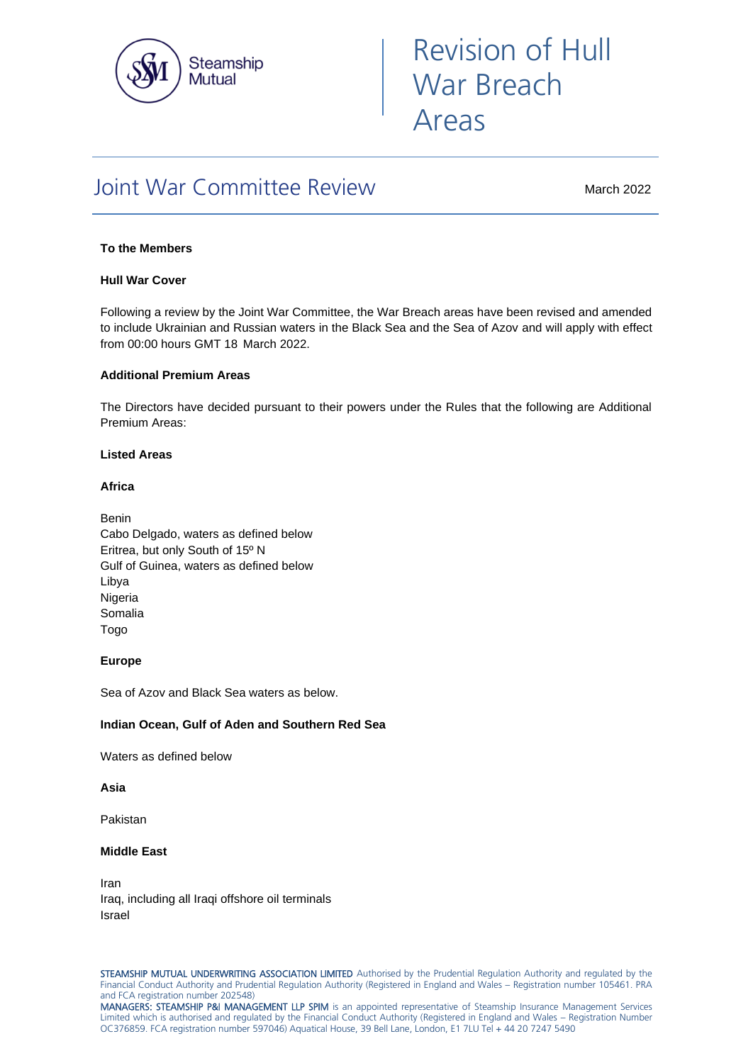

# Revision of Hull War Breach Areas

# Joint War Committee Review

March 2022

# **To the Members**

#### **Hull War Cover**

Following a review by the Joint War Committee, the War Breach areas have been revised and amended to include Ukrainian and Russian waters in the Black Sea and the Sea of Azov and will apply with effect from 00:00 hours GMT 18 March 2022.

#### **Additional Premium Areas**

The Directors have decided pursuant to their powers under the Rules that the following are Additional Premium Areas:

#### **Listed Areas**

#### **Africa**

Benin Cabo Delgado, waters as defined below Eritrea, but only South of 15º N Gulf of Guinea, waters as defined below Libya Nigeria Somalia Togo

# **Europe**

Sea of Azov and Black Sea waters as below.

# **Indian Ocean, Gulf of Aden and Southern Red Sea**

Waters as defined below

## **Asia**

Pakistan

# **Middle East**

Iran Iraq, including all Iraqi offshore oil terminals Israel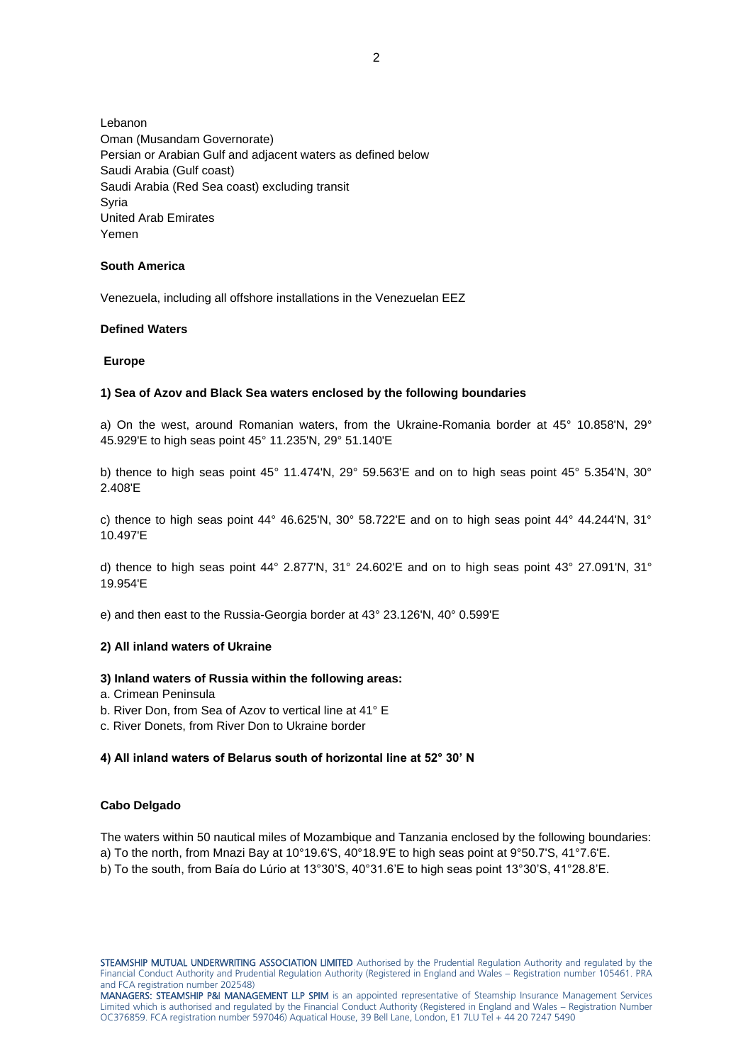Lebanon Oman (Musandam Governorate) Persian or Arabian Gulf and adjacent waters as defined below Saudi Arabia (Gulf coast) Saudi Arabia (Red Sea coast) excluding transit Syria United Arab Emirates Yemen

#### **South America**

Venezuela, including all offshore installations in the Venezuelan EEZ

#### **Defined Waters**

#### **Europe**

#### **1) Sea of Azov and Black Sea waters enclosed by the following boundaries**

a) On the west, around Romanian waters, from the Ukraine-Romania border at 45° 10.858'N, 29° 45.929'E to high seas point 45° 11.235'N, 29° 51.140'E

b) thence to high seas point 45° 11.474'N, 29° 59.563'E and on to high seas point 45° 5.354'N, 30° 2.408'E

c) thence to high seas point 44° 46.625'N, 30° 58.722'E and on to high seas point 44° 44.244'N, 31° 10.497'E

d) thence to high seas point 44° 2.877'N, 31° 24.602'E and on to high seas point 43° 27.091'N, 31° 19.954'E

e) and then east to the Russia-Georgia border at 43° 23.126'N, 40° 0.599'E

# **2) All inland waters of Ukraine**

#### **3) Inland waters of Russia within the following areas:**

- a. Crimean Peninsula
- b. River Don, from Sea of Azov to vertical line at 41° E
- c. River Donets, from River Don to Ukraine border

# **4) All inland waters of Belarus south of horizontal line at 52° 30' N**

#### **Cabo Delgado**

The waters within 50 nautical miles of Mozambique and Tanzania enclosed by the following boundaries:

a) To the north, from Mnazi Bay at 10°19.6'S, 40°18.9'E to high seas point at 9°50.7'S, 41°7.6'E.

b) To the south, from Baía do Lúrio at 13°30'S, 40°31.6'E to high seas point 13°30'S, 41°28.8'E.

STEAMSHIP MUTUAL UNDERWRITING ASSOCIATION LIMITED Authorised by the Prudential Regulation Authority and regulated by the Financial Conduct Authority and Prudential Regulation Authority (Registered in England and Wales – Registration number 105461. PRA and FCA registration number 202548)

MANAGERS: STEAMSHIP P&I MANAGEMENT LLP SPIM is an appointed representative of Steamship Insurance Management Services Limited which is authorised and regulated by the Financial Conduct Authority (Registered in England and Wales – Registration Number OC376859. FCA registration number 597046) Aquatical House, 39 Bell Lane, London, E1 7LU Tel + 44 20 7247 5490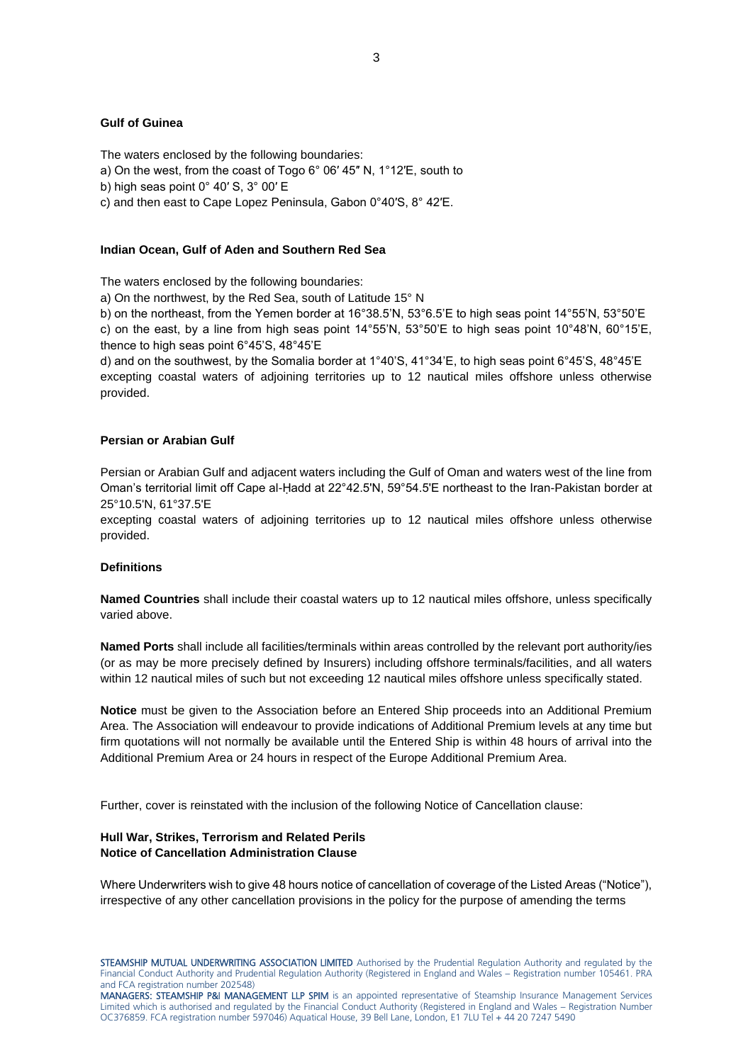#### **Gulf of Guinea**

The waters enclosed by the following boundaries:

a) On the west, from the coast of Togo 6° 06′ 45″ N, 1°12′E, south to

b) high seas point 0° 40′ S, 3° 00′ E

c) and then east to Cape Lopez Peninsula, Gabon 0°40′S, 8° 42′E.

#### **Indian Ocean, Gulf of Aden and Southern Red Sea**

The waters enclosed by the following boundaries:

a) On the northwest, by the Red Sea, south of Latitude 15° N

b) on the northeast, from the Yemen border at 16°38.5'N, 53°6.5'E to high seas point 14°55'N, 53°50'E c) on the east, by a line from high seas point  $14^{\circ}55'N$ ,  $53^{\circ}50'E$  to high seas point  $10^{\circ}48'N$ ,  $60^{\circ}15'E$ . thence to high seas point 6°45'S, 48°45'E

d) and on the southwest, by the Somalia border at 1°40'S, 41°34'E, to high seas point 6°45'S, 48°45'E excepting coastal waters of adjoining territories up to 12 nautical miles offshore unless otherwise provided.

#### **Persian or Arabian Gulf**

Persian or Arabian Gulf and adjacent waters including the Gulf of Oman and waters west of the line from Oman's territorial limit off Cape al-Ḥadd at 22°42.5'N, 59°54.5'E northeast to the Iran-Pakistan border at 25°10.5'N, 61°37.5'E

excepting coastal waters of adjoining territories up to 12 nautical miles offshore unless otherwise provided.

## **Definitions**

**Named Countries** shall include their coastal waters up to 12 nautical miles offshore, unless specifically varied above.

**Named Ports** shall include all facilities/terminals within areas controlled by the relevant port authority/ies (or as may be more precisely defined by Insurers) including offshore terminals/facilities, and all waters within 12 nautical miles of such but not exceeding 12 nautical miles offshore unless specifically stated.

**Notice** must be given to the Association before an Entered Ship proceeds into an Additional Premium Area. The Association will endeavour to provide indications of Additional Premium levels at any time but firm quotations will not normally be available until the Entered Ship is within 48 hours of arrival into the Additional Premium Area or 24 hours in respect of the Europe Additional Premium Area.

Further, cover is reinstated with the inclusion of the following Notice of Cancellation clause:

# **Hull War, Strikes, Terrorism and Related Perils Notice of Cancellation Administration Clause**

Where Underwriters wish to give 48 hours notice of cancellation of coverage of the Listed Areas ("Notice"), irrespective of any other cancellation provisions in the policy for the purpose of amending the terms

STEAMSHIP MUTUAL UNDERWRITING ASSOCIATION LIMITED Authorised by the Prudential Regulation Authority and regulated by the Financial Conduct Authority and Prudential Regulation Authority (Registered in England and Wales – Registration number 105461. PRA and FCA registration number 202548)

MANAGERS: STEAMSHIP P&I MANAGEMENT LLP SPIM is an appointed representative of Steamship Insurance Management Services Limited which is authorised and regulated by the Financial Conduct Authority (Registered in England and Wales – Registration Number OC376859. FCA registration number 597046) Aquatical House, 39 Bell Lane, London, E1 7LU Tel + 44 20 7247 5490